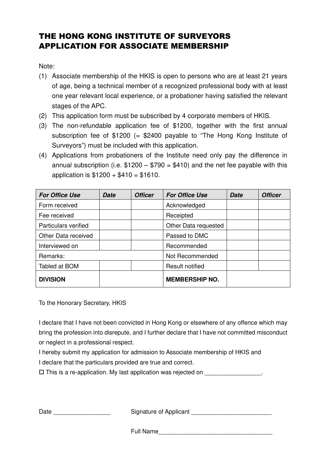## THE HONG KONG INSTITUTE OF SURVEYORS APPLICATION FOR ASSOCIATE MEMBERSHIP

Note:

- (1) Associate membership of the HKIS is open to persons who are at least 21 years of age, being a technical member of a recognized professional body with at least one year relevant local experience, or a probationer having satisfied the relevant stages of the APC.
- (2) This application form must be subscribed by 4 corporate members of HKIS.
- (3) The non-refundable application fee of \$1200, together with the first annual subscription fee of \$1200 (= \$2400 payable to "The Hong Kong Institute of Surveyors") must be included with this application.
- (4) Applications from probationers of the Institute need only pay the difference in annual subscription (i.e.  $$1200 - $790 = $410$ ) and the net fee payable with this application is  $$1200 + $410 = $1610$ .

| <b>For Office Use</b> | <b>Date</b> | <b>Officer</b> | <b>For Office Use</b>  | <b>Date</b> | <b>Officer</b> |
|-----------------------|-------------|----------------|------------------------|-------------|----------------|
| Form received         |             |                | Acknowledged           |             |                |
| Fee received          |             |                | Receipted              |             |                |
| Particulars verified  |             |                | Other Data requested   |             |                |
| Other Data received   |             |                | Passed to DMC          |             |                |
| Interviewed on        |             |                | Recommended            |             |                |
| Remarks:              |             |                | Not Recommended        |             |                |
| Tabled at BOM         |             |                | <b>Result notified</b> |             |                |
| <b>DIVISION</b>       |             |                | <b>MEMBERSHIP NO.</b>  |             |                |

To the Honorary Secretary, HKIS

I declare that I have not been convicted in Hong Kong or elsewhere of any offence which may bring the profession into disrepute, and I further declare that I have not committed misconduct or neglect in a professional respect.

I hereby submit my application for admission to Associate membership of HKIS and I declare that the particulars provided are true and correct.

 $\square$  This is a re-application. My last application was rejected on  $\square$ 

Date \_\_\_\_\_\_\_\_\_\_\_\_\_\_\_\_\_ Signature of Applicant \_\_\_\_\_\_\_\_\_\_\_\_\_\_\_\_\_\_\_\_\_\_\_\_

Full Name